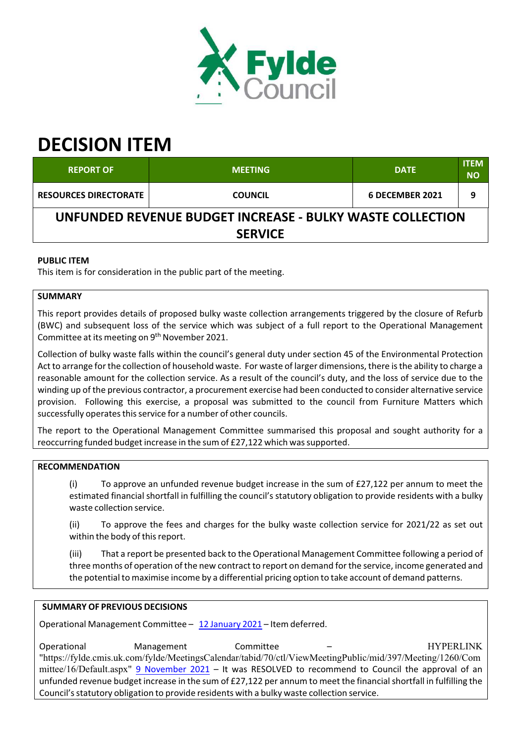

# **DECISION ITEM**

| <b>REPORT OF</b>                                          | <b>MEETING</b> | <b>DATE</b>     | <b>ITEM</b><br><b>NO</b> |  |  |
|-----------------------------------------------------------|----------------|-----------------|--------------------------|--|--|
| <b>RESOURCES DIRECTORATE</b>                              | <b>COUNCIL</b> | 6 DECEMBER 2021 |                          |  |  |
| UNFUNDED REVENUE BUDGET INCREASE - BULKY WASTE COLLECTION |                |                 |                          |  |  |
| <b>SERVICE</b>                                            |                |                 |                          |  |  |

## **PUBLIC ITEM**

This item is for consideration in the public part of the meeting.

## **SUMMARY**

This report provides details of proposed bulky waste collection arrangements triggered by the closure of Refurb (BWC) and subsequent loss of the service which was subject of a full report to the Operational Management Committee at its meeting on 9<sup>th</sup> November 2021.

Collection of bulky waste falls within the council's general duty under section 45 of the Environmental Protection Act to arrange forthe collection of household waste. For waste of larger dimensions, there isthe ability to charge a reasonable amount for the collection service. As a result of the council's duty, and the loss of service due to the winding up of the previous contractor, a procurement exercise had been conducted to consider alternative service provision. Following this exercise, a proposal was submitted to the council from Furniture Matters which successfully operates this service for a number of other councils.

The report to the Operational Management Committee summarised this proposal and sought authority for a reoccurring funded budget increase in the sum of £27,122 which was supported.

## **RECOMMENDATION**

(i) To approve an unfunded revenue budget increase in the sum of £27,122 per annum to meet the estimated financial shortfall in fulfilling the council's statutory obligation to provide residents with a bulky waste collection service.

(ii) To approve the fees and charges for the bulky waste collection service for 2021/22 as set out within the body of this report.

(iii) That a report be presented back to the Operational Management Committee following a period of three months of operation of the new contract to report on demand forthe service, income generated and the potential to maximise income by a differential pricing option to take account of demand patterns.

## **SUMMARY OF PREVIOUS DECISIONS**

Operational Management Committee – 12 January 2021 – Item deferred.

Operational Management Committee - Committee - HYPERLINK "https://fylde.cmis.uk.com/fylde/MeetingsCalendar/tabid/70/ctl/ViewMeetingPublic/mid/397/Meeting/1260/Com mittee/16/Default.aspx" 9 November 2021 – It was RESOLVED to recommend to Council the approval of an unfunded revenue budget increase in the sum of £27,122 per annum to meet the financialshortfall in fulfilling the Council's statutory obligation to provide residents with a bulky waste collection service.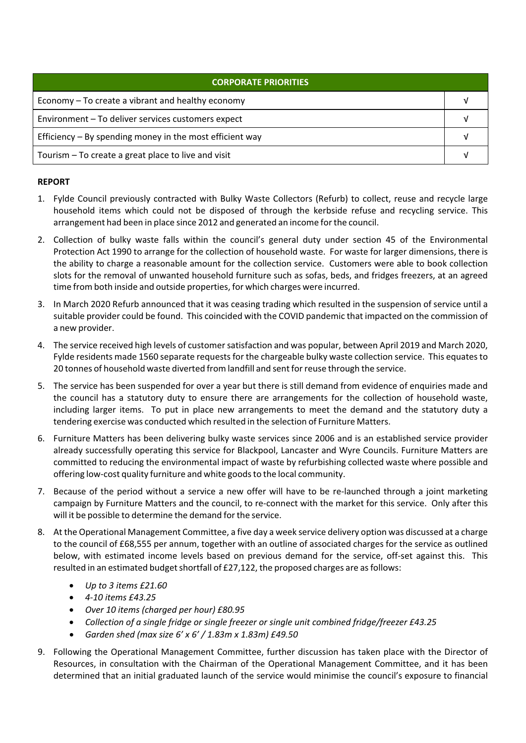| CORPORATE PRIORITIES                                       |  |  |
|------------------------------------------------------------|--|--|
| Economy – To create a vibrant and healthy economy          |  |  |
| Environment - To deliver services customers expect         |  |  |
| Efficiency $-$ By spending money in the most efficient way |  |  |
| Tourism – To create a great place to live and visit        |  |  |

#### **REPORT**

- 1. Fylde Council previously contracted with Bulky Waste Collectors (Refurb) to collect, reuse and recycle large household items which could not be disposed of through the kerbside refuse and recycling service. This arrangement had been in place since 2012 and generated an income forthe council.
- 2. Collection of bulky waste falls within the council's general duty under section 45 of the Environmental Protection Act 1990 to arrange for the collection of household waste. For waste for larger dimensions, there is the ability to charge a reasonable amount for the collection service. Customers were able to book collection slots for the removal of unwanted household furniture such as sofas, beds, and fridges freezers, at an agreed time from both inside and outside properties, for which charges were incurred.
- 3. In March 2020 Refurb announced that it was ceasing trading which resulted in the suspension of service until a suitable provider could be found. This coincided with the COVID pandemic that impacted on the commission of a new provider.
- 4. The service received high levels of customer satisfaction and was popular, between April 2019 and March 2020, Fylde residents made 1560 separate requests for the chargeable bulky waste collection service. This equates to 20 tonnes of household waste diverted from landfill and sent forreuse through the service.
- 5. The service has been suspended for over a year but there is still demand from evidence of enquiries made and the council has a statutory duty to ensure there are arrangements for the collection of household waste, including larger items. To put in place new arrangements to meet the demand and the statutory duty a tendering exercise was conducted which resulted in the selection of Furniture Matters.
- 6. Furniture Matters has been delivering bulky waste services since 2006 and is an established service provider already successfully operating this service for Blackpool, Lancaster and Wyre Councils. Furniture Matters are committed to reducing the environmental impact of waste by refurbishing collected waste where possible and offering low‐cost quality furniture and white goodsto the local community.
- 7. Because of the period without a service a new offer will have to be re-launched through a joint marketing campaign by Furniture Matters and the council, to re‐connect with the market for this service. Only after this will it be possible to determine the demand for the service.
- 8. At the Operational Management Committee, a five day a week service delivery option was discussed at a charge to the council of £68,555 per annum, together with an outline of associated charges for the service as outlined below, with estimated income levels based on previous demand for the service, off-set against this. This resulted in an estimated budget shortfall of £27,122, the proposed charges are as follows:
	- *Up to 3 items £21.60*
	- *4‐10 items £43.25*
	- *Over 10 items (charged per hour) £80.95*
	- *Collection of a single fridge or single freezer or single unit combined fridge/freezer £43.25*
	- *Garden shed (max size 6' x 6' / 1.83m x 1.83m) £49.50*
- 9. Following the Operational Management Committee, further discussion has taken place with the Director of Resources, in consultation with the Chairman of the Operational Management Committee, and it has been determined that an initial graduated launch of the service would minimise the council's exposure to financial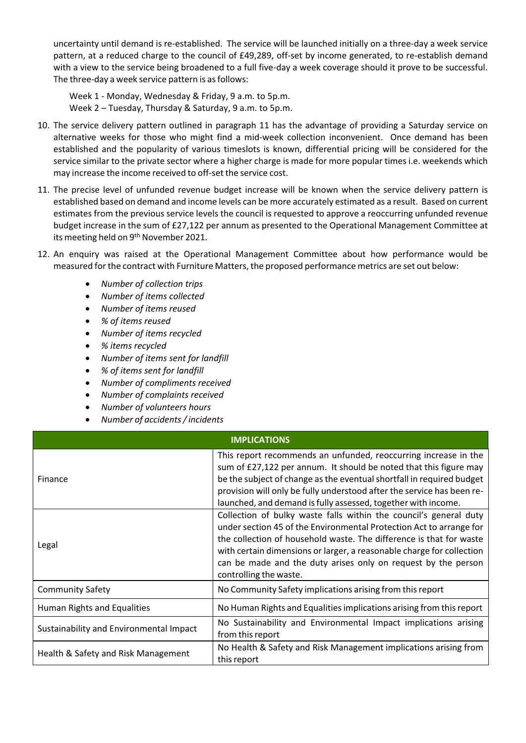uncertainty until demand is re‐established. The service will be launched initially on a three‐day a week service pattern, at a reduced charge to the council of £49,289, off‐set by income generated, to re‐establish demand with a view to the service being broadened to a full five-day a week coverage should it prove to be successful. The three-day a week service pattern is as follows:

Week 1 ‐ Monday, Wednesday & Friday, 9 a.m. to 5p.m. Week 2 – Tuesday, Thursday & Saturday, 9 a.m. to 5p.m.

- 10. The service delivery pattern outlined in paragraph 11 has the advantage of providing a Saturday service on alternative weeks for those who might find a mid‐week collection inconvenient. Once demand has been established and the popularity of various timeslots is known, differential pricing will be considered for the service similar to the private sector where a higher charge is made for more popular times i.e. weekends which may increase the income received to off‐set the service cost.
- 11. The precise level of unfunded revenue budget increase will be known when the service delivery pattern is established based on demand and income levels can be more accurately estimated as a result. Based on current estimates from the previous service levels the council is requested to approve a reoccurring unfunded revenue budget increase in the sum of £27,122 per annum as presented to the Operational Management Committee at its meeting held on 9<sup>th</sup> November 2021.
- 12. An enquiry was raised at the Operational Management Committee about how performance would be measured forthe contract with Furniture Matters, the proposed performance metrics are set out below:
	- *Number of collection trips*
	- *Number of items collected*
	- *Number of items reused*
	- *% of items reused*
	- *Number of items recycled*
	- *% items recycled*
	- *Number of items sent for landfill*
	- *% of items sent for landfill*
	- *Number of compliments received*
	- *Number of complaints received*
	- *Number of volunteers hours*
	- *Number of accidents/incidents*

#### **IMPLICATIONS**

| Finance                                 | This report recommends an unfunded, reoccurring increase in the<br>sum of £27,122 per annum. It should be noted that this figure may<br>be the subject of change as the eventual shortfall in required budget<br>provision will only be fully understood after the service has been re-<br>launched, and demand is fully assessed, together with income.                            |  |
|-----------------------------------------|-------------------------------------------------------------------------------------------------------------------------------------------------------------------------------------------------------------------------------------------------------------------------------------------------------------------------------------------------------------------------------------|--|
| Legal                                   | Collection of bulky waste falls within the council's general duty<br>under section 45 of the Environmental Protection Act to arrange for<br>the collection of household waste. The difference is that for waste<br>with certain dimensions or larger, a reasonable charge for collection<br>can be made and the duty arises only on request by the person<br>controlling the waste. |  |
| <b>Community Safety</b>                 | No Community Safety implications arising from this report                                                                                                                                                                                                                                                                                                                           |  |
| Human Rights and Equalities             | No Human Rights and Equalities implications arising from this report                                                                                                                                                                                                                                                                                                                |  |
| Sustainability and Environmental Impact | No Sustainability and Environmental Impact implications arising<br>from this report                                                                                                                                                                                                                                                                                                 |  |
| Health & Safety and Risk Management     | No Health & Safety and Risk Management implications arising from<br>this report                                                                                                                                                                                                                                                                                                     |  |